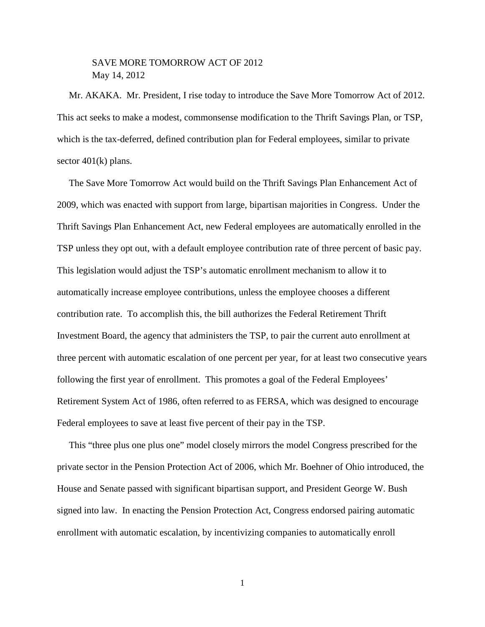## SAVE MORE TOMORROW ACT OF 2012 May 14, 2012

 Mr. AKAKA. Mr. President, I rise today to introduce the Save More Tomorrow Act of 2012. This act seeks to make a modest, commonsense modification to the Thrift Savings Plan, or TSP, which is the tax-deferred, defined contribution plan for Federal employees, similar to private sector  $401(k)$  plans.

 The Save More Tomorrow Act would build on the Thrift Savings Plan Enhancement Act of 2009, which was enacted with support from large, bipartisan majorities in Congress. Under the Thrift Savings Plan Enhancement Act, new Federal employees are automatically enrolled in the TSP unless they opt out, with a default employee contribution rate of three percent of basic pay. This legislation would adjust the TSP's automatic enrollment mechanism to allow it to automatically increase employee contributions, unless the employee chooses a different contribution rate. To accomplish this, the bill authorizes the Federal Retirement Thrift Investment Board, the agency that administers the TSP, to pair the current auto enrollment at three percent with automatic escalation of one percent per year, for at least two consecutive years following the first year of enrollment. This promotes a goal of the Federal Employees' Retirement System Act of 1986, often referred to as FERSA, which was designed to encourage Federal employees to save at least five percent of their pay in the TSP.

 This "three plus one plus one" model closely mirrors the model Congress prescribed for the private sector in the Pension Protection Act of 2006, which Mr. Boehner of Ohio introduced, the House and Senate passed with significant bipartisan support, and President George W. Bush signed into law. In enacting the Pension Protection Act, Congress endorsed pairing automatic enrollment with automatic escalation, by incentivizing companies to automatically enroll

1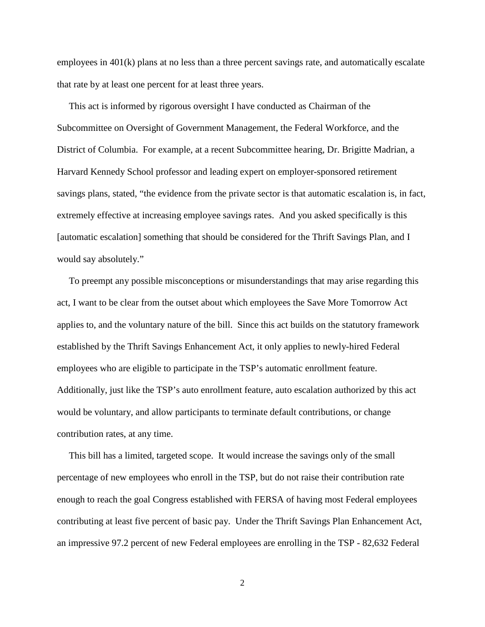employees in 401(k) plans at no less than a three percent savings rate, and automatically escalate that rate by at least one percent for at least three years.

 This act is informed by rigorous oversight I have conducted as Chairman of the Subcommittee on Oversight of Government Management, the Federal Workforce, and the District of Columbia. For example, at a recent Subcommittee hearing, Dr. Brigitte Madrian, a Harvard Kennedy School professor and leading expert on employer-sponsored retirement savings plans, stated, "the evidence from the private sector is that automatic escalation is, in fact, extremely effective at increasing employee savings rates. And you asked specifically is this [automatic escalation] something that should be considered for the Thrift Savings Plan, and I would say absolutely."

 To preempt any possible misconceptions or misunderstandings that may arise regarding this act, I want to be clear from the outset about which employees the Save More Tomorrow Act applies to, and the voluntary nature of the bill. Since this act builds on the statutory framework established by the Thrift Savings Enhancement Act, it only applies to newly-hired Federal employees who are eligible to participate in the TSP's automatic enrollment feature. Additionally, just like the TSP's auto enrollment feature, auto escalation authorized by this act would be voluntary, and allow participants to terminate default contributions, or change contribution rates, at any time.

 This bill has a limited, targeted scope. It would increase the savings only of the small percentage of new employees who enroll in the TSP, but do not raise their contribution rate enough to reach the goal Congress established with FERSA of having most Federal employees contributing at least five percent of basic pay. Under the Thrift Savings Plan Enhancement Act, an impressive 97.2 percent of new Federal employees are enrolling in the TSP - 82,632 Federal

2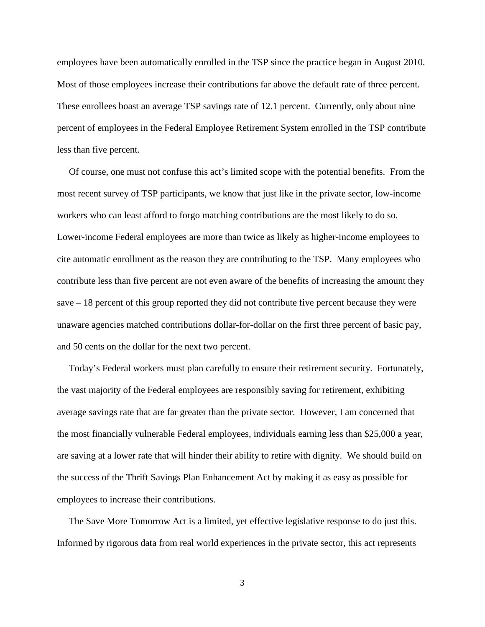employees have been automatically enrolled in the TSP since the practice began in August 2010. Most of those employees increase their contributions far above the default rate of three percent. These enrollees boast an average TSP savings rate of 12.1 percent. Currently, only about nine percent of employees in the Federal Employee Retirement System enrolled in the TSP contribute less than five percent.

 Of course, one must not confuse this act's limited scope with the potential benefits. From the most recent survey of TSP participants, we know that just like in the private sector, low-income workers who can least afford to forgo matching contributions are the most likely to do so. Lower-income Federal employees are more than twice as likely as higher-income employees to cite automatic enrollment as the reason they are contributing to the TSP. Many employees who contribute less than five percent are not even aware of the benefits of increasing the amount they save – 18 percent of this group reported they did not contribute five percent because they were unaware agencies matched contributions dollar-for-dollar on the first three percent of basic pay, and 50 cents on the dollar for the next two percent.

 Today's Federal workers must plan carefully to ensure their retirement security. Fortunately, the vast majority of the Federal employees are responsibly saving for retirement, exhibiting average savings rate that are far greater than the private sector. However, I am concerned that the most financially vulnerable Federal employees, individuals earning less than \$25,000 a year, are saving at a lower rate that will hinder their ability to retire with dignity. We should build on the success of the Thrift Savings Plan Enhancement Act by making it as easy as possible for employees to increase their contributions.

 The Save More Tomorrow Act is a limited, yet effective legislative response to do just this. Informed by rigorous data from real world experiences in the private sector, this act represents

3